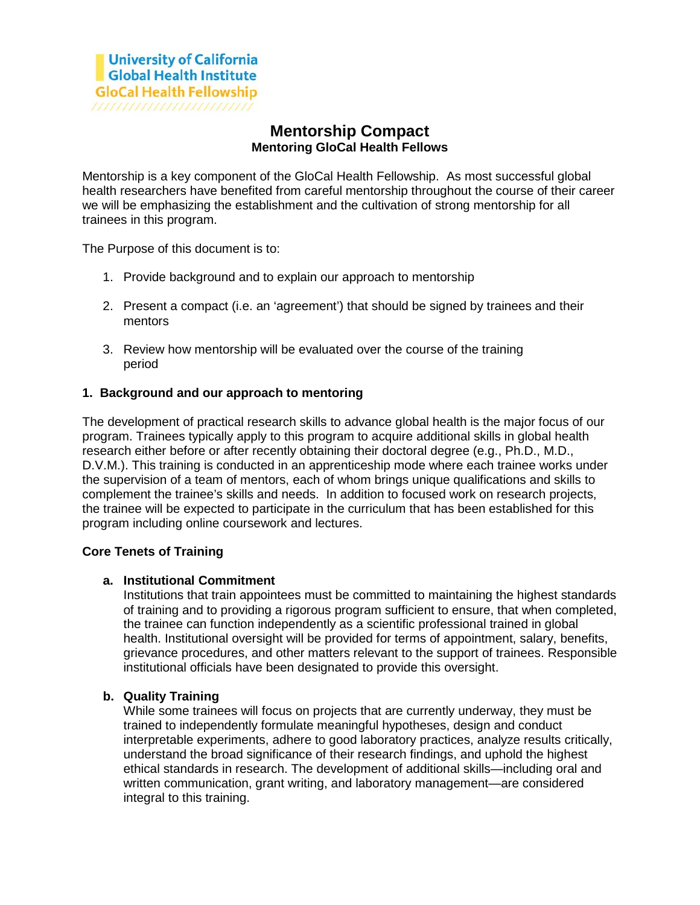# **Mentorship Compact Mentoring GloCal Health Fellows**

Mentorship is a key component of the GloCal Health Fellowship. As most successful global health researchers have benefited from careful mentorship throughout the course of their career we will be emphasizing the establishment and the cultivation of strong mentorship for all trainees in this program.

The Purpose of this document is to:

- 1. Provide background and to explain our approach to mentorship
- 2. Present a compact (i.e. an 'agreement') that should be signed by trainees and their mentors
- 3. Review how mentorship will be evaluated over the course of the training period

## **1. Background and our approach to mentoring**

The development of practical research skills to advance global health is the major focus of our program. Trainees typically apply to this program to acquire additional skills in global health research either before or after recently obtaining their doctoral degree (e.g., Ph.D., M.D., D.V.M.). This training is conducted in an apprenticeship mode where each trainee works under the supervision of a team of mentors, each of whom brings unique qualifications and skills to complement the trainee's skills and needs. In addition to focused work on research projects, the trainee will be expected to participate in the curriculum that has been established for this program including online coursework and lectures.

## **Core Tenets of Training**

## **a. Institutional Commitment**

Institutions that train appointees must be committed to maintaining the highest standards of training and to providing a rigorous program sufficient to ensure, that when completed, the trainee can function independently as a scientific professional trained in global health. Institutional oversight will be provided for terms of appointment, salary, benefits, grievance procedures, and other matters relevant to the support of trainees. Responsible institutional officials have been designated to provide this oversight.

## **b. Quality Training**

While some trainees will focus on projects that are currently underway, they must be trained to independently formulate meaningful hypotheses, design and conduct interpretable experiments, adhere to good laboratory practices, analyze results critically, understand the broad significance of their research findings, and uphold the highest ethical standards in research. The development of additional skills—including oral and written communication, grant writing, and laboratory management—are considered integral to this training.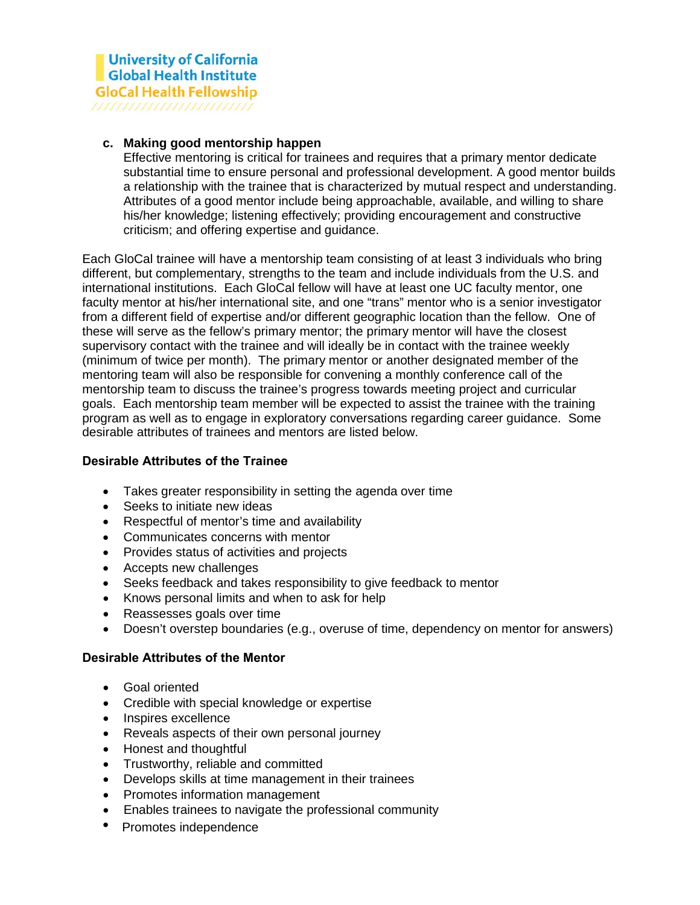#### **c. Making good mentorship happen**

Effective mentoring is critical for trainees and requires that a primary mentor dedicate substantial time to ensure personal and professional development. A good mentor builds a relationship with the trainee that is characterized by mutual respect and understanding. Attributes of a good mentor include being approachable, available, and willing to share his/her knowledge; listening effectively; providing encouragement and constructive criticism; and offering expertise and guidance.

Each GloCal trainee will have a mentorship team consisting of at least 3 individuals who bring different, but complementary, strengths to the team and include individuals from the U.S. and international institutions. Each GloCal fellow will have at least one UC faculty mentor, one faculty mentor at his/her international site, and one "trans" mentor who is a senior investigator from a different field of expertise and/or different geographic location than the fellow. One of these will serve as the fellow's primary mentor; the primary mentor will have the closest supervisory contact with the trainee and will ideally be in contact with the trainee weekly (minimum of twice per month). The primary mentor or another designated member of the mentoring team will also be responsible for convening a monthly conference call of the mentorship team to discuss the trainee's progress towards meeting project and curricular goals. Each mentorship team member will be expected to assist the trainee with the training program as well as to engage in exploratory conversations regarding career guidance. Some desirable attributes of trainees and mentors are listed below.

#### **Desirable Attributes of the Trainee**

- Takes greater responsibility in setting the agenda over time
- Seeks to initiate new ideas
- Respectful of mentor's time and availability
- Communicates concerns with mentor
- Provides status of activities and projects
- Accepts new challenges
- Seeks feedback and takes responsibility to give feedback to mentor
- Knows personal limits and when to ask for help
- Reassesses goals over time
- Doesn't overstep boundaries (e.g., overuse of time, dependency on mentor for answers)

#### **Desirable Attributes of the Mentor**

- Goal oriented
- Credible with special knowledge or expertise
- Inspires excellence
- Reveals aspects of their own personal journey
- Honest and thoughtful
- Trustworthy, reliable and committed
- Develops skills at time management in their trainees
- Promotes information management
- Enables trainees to navigate the professional community
- Promotes independence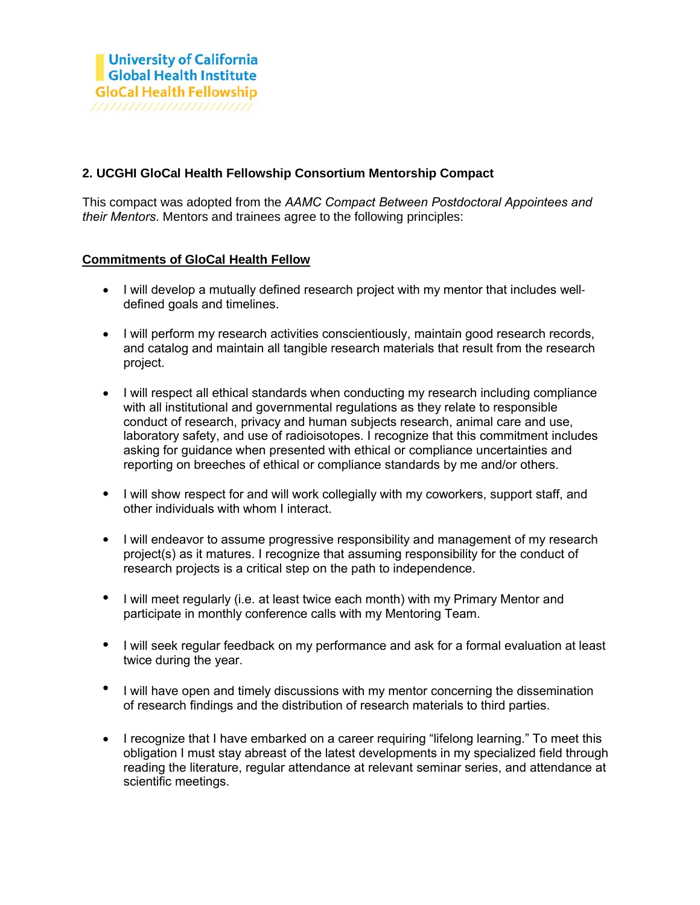## **2. UCGHI GloCal Health Fellowship Consortium Mentorship Compact**

This compact was adopted from the *AAMC Compact Between Postdoctoral Appointees and their Mentors*. Mentors [and trainees agree](https://www.aamc.org/initiatives/postdoccompact) to the following principles:

## **Commitments of GloCal Health Fellow**

- I will develop a mutually defined research project with my mentor that includes welldefined goals and timelines.
- I will perform my research activities conscientiously, maintain good research records, and catalog and maintain all tangible research materials that result from the research project.
- I will respect all ethical standards when conducting my research including compliance with all institutional and governmental regulations as they relate to responsible conduct of research, privacy and human subjects research, animal care and use, laboratory safety, and use of radioisotopes. I recognize that this commitment includes asking for guidance when presented with ethical or compliance uncertainties and reporting on breeches of ethical or compliance standards by me and/or others.
- I will show respect for and will work collegially with my coworkers, support staff, and other individuals with whom I interact.
- I will endeavor to assume progressive responsibility and management of my research project(s) as it matures. I recognize that assuming responsibility for the conduct of research projects is a critical step on the path to independence.
- I will meet regularly (i.e. at least twice each month) with my Primary Mentor and participate in monthly conference calls with my Mentoring Team.
- I will seek regular feedback on my performance and ask for a formal evaluation at least twice during the year.
- I will have open and timely discussions with my mentor concerning the dissemination of research findings and the distribution of research materials to third parties.
- I recognize that I have embarked on a career requiring "lifelong learning." To meet this obligation I must stay abreast of the latest developments in my specialized field through reading the literature, regular attendance at relevant seminar series, and attendance at scientific meetings.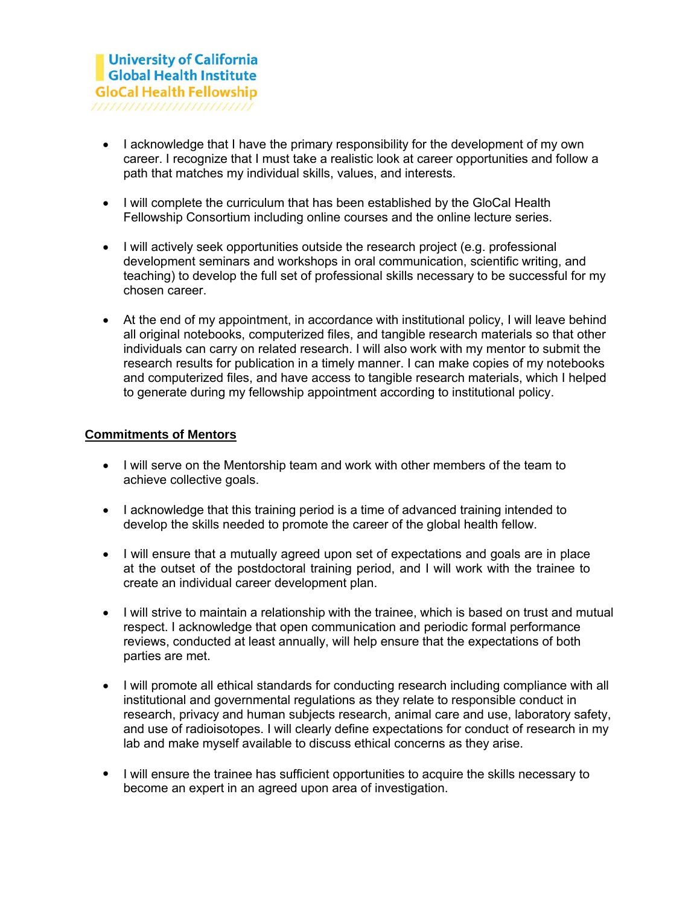- I acknowledge that I have the primary responsibility for the development of my own career. I recognize that I must take a realistic look at career opportunities and follow a path that matches my individual skills, values, and interests.
- I will complete the curriculum that has been established by the GloCal Health Fellowship Consortium including online courses and the online lecture series.
- I will actively seek opportunities outside the research project (e.g. professional development seminars and workshops in oral communication, scientific writing, and teaching) to develop the full set of professional skills necessary to be successful for my chosen career.
- At the end of my appointment, in accordance with institutional policy, I will leave behind all original notebooks, computerized files, and tangible research materials so that other individuals can carry on related research. I will also work with my mentor to submit the research results for publication in a timely manner. I can make copies of my notebooks and computerized files, and have access to tangible research materials, which I helped to generate during my fellowship appointment according to institutional policy.

## **Commitments of Mentors**

- I will serve on the Mentorship team and work with other members of the team to achieve collective goals.
- I acknowledge that this training period is a time of advanced training intended to develop the skills needed to promote the career of the global health fellow.
- I will ensure that a mutually agreed upon set of expectations and goals are in place at the outset of the postdoctoral training period, and I will work with the trainee to create an individual career development plan.
- I will strive to maintain a relationship with the trainee, which is based on trust and mutual respect. I acknowledge that open communication and periodic formal performance reviews, conducted at least annually, will help ensure that the expectations of both parties are met.
- I will promote all ethical standards for conducting research including compliance with all institutional and governmental regulations as they relate to responsible conduct in research, privacy and human subjects research, animal care and use, laboratory safety, and use of radioisotopes. I will clearly define expectations for conduct of research in my lab and make myself available to discuss ethical concerns as they arise.
- I will ensure the trainee has sufficient opportunities to acquire the skills necessary to become an expert in an agreed upon area of investigation.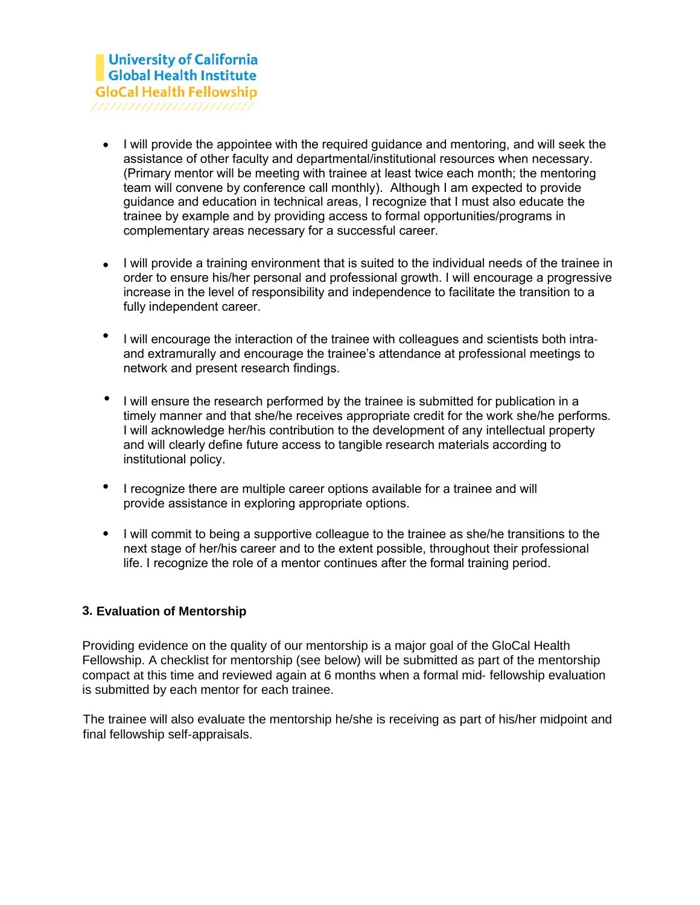- I will provide the appointee with the required guidance and mentoring, and will seek the assistance of other faculty and departmental/institutional resources when necessary. (Primary mentor will be meeting with trainee at least twice each month; the mentoring team will convene by conference call monthly). Although I am expected to provide guidance and education in technical areas, I recognize that I must also educate the trainee by example and by providing access to formal opportunities/programs in complementary areas necessary for a successful career.
- I will provide a training environment that is suited to the individual needs of the trainee in order to ensure his/her personal and professional growth. I will encourage a progressive increase in the level of responsibility and independence to facilitate the transition to a fully independent career.
- <sup>I</sup> will encourage the interaction of the trainee with colleagues and scientists both intraand extramurally and encourage the trainee's attendance at professional meetings to network and present research findings.
- I will ensure the research performed by the trainee is submitted for publication in a timely manner and that she/he receives appropriate credit for the work she/he performs. I will acknowledge her/his contribution to the development of any intellectual property and will clearly define future access to tangible research materials according to institutional policy.
- I recognize there are multiple career options available for a trainee and will provide assistance in exploring appropriate options.
- I will commit to being a supportive colleague to the trainee as she/he transitions to the next stage of her/his career and to the extent possible, throughout their professional life. I recognize the role of a mentor continues after the formal training period.

## **3. Evaluation of Mentorship**

Providing evidence on the quality of our mentorship is a major goal of the GloCal Health Fellowship. A checklist for mentorship (see below) will be submitted as part of the mentorship compact at this time and reviewed again at 6 months when a formal mid‐ fellowship evaluation is submitted by each mentor for each trainee.

The trainee will also evaluate the mentorship he/she is receiving as part of his/her midpoint and final fellowship self‐appraisals.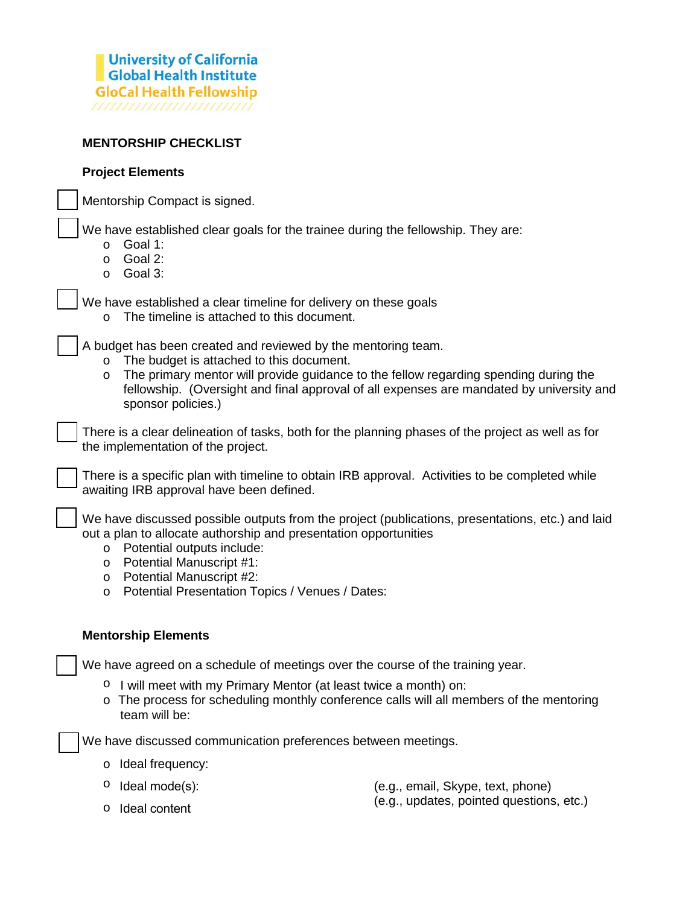

#### **MENTORSHIP CHECKLIST**

#### **Project Elements**

Mentorship Compact is signed.

We have established clear goals for the trainee during the fellowship. They are:

- o Goal 1:
- o Goal 2:
- o Goal 3:

We have established a clear timeline for delivery on these goals

o The timeline is attached to this document.

A budget has been created and reviewed by the mentoring team.

- o The budget is attached to this document.
- $\circ$  The primary mentor will provide guidance to the fellow regarding spending during the fellowship. (Oversight and final approval of all expenses are mandated by university and sponsor policies.)

There is a clear delineation of tasks, both for the planning phases of the project as well as for the implementation of the project.

There is a specific plan with timeline to obtain IRB approval. Activities to be completed while awaiting IRB approval have been defined.

We have discussed possible outputs from the project (publications, presentations, etc.) and laid out a plan to allocate authorship and presentation opportunities

- o Potential outputs include:
- o Potential Manuscript #1:
- o Potential Manuscript #2:
- o Potential Presentation Topics / Venues / Dates:

#### **Mentorship Elements**

We have agreed on a schedule of meetings over the course of the training year.

- o I will meet with my Primary Mentor (at least twice a month) on:
- o The process for scheduling monthly conference calls will all members of the mentoring team will be:

We have discussed communication preferences between meetings.

o Ideal frequency:

(e.g., email, Skype, text, phone)

o Ideal content $\circ$  Ideal mode(s):

(e.g., updates, pointed questions, etc.)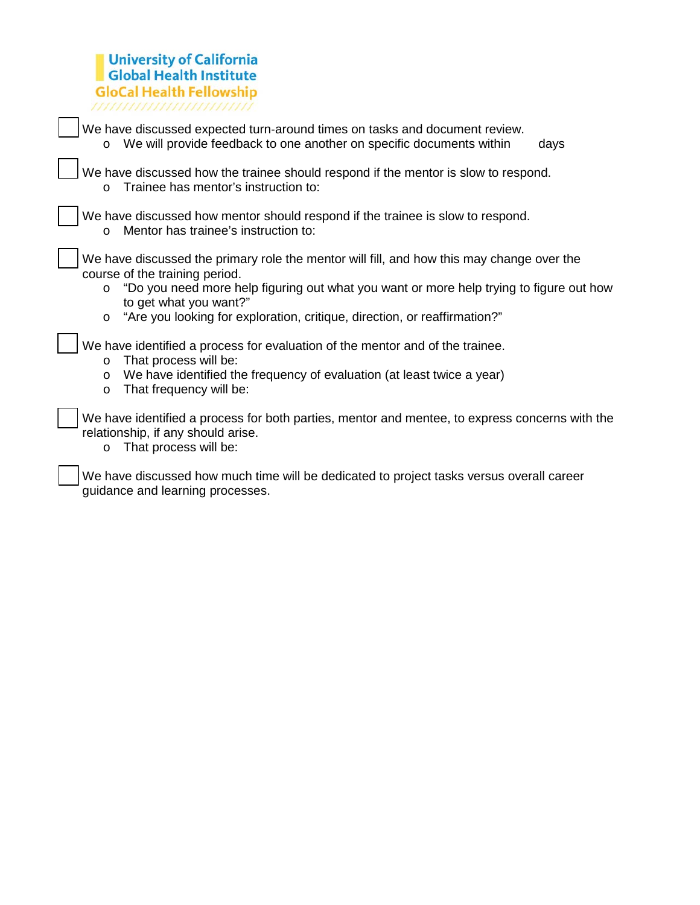# University of California<br>Global Health Institute GloCal Health Fellowship

| We have discussed expected turn-around times on tasks and document review.<br>We will provide feedback to one another on specific documents within<br>days<br>$\circ$                                                                                                                                                                               |
|-----------------------------------------------------------------------------------------------------------------------------------------------------------------------------------------------------------------------------------------------------------------------------------------------------------------------------------------------------|
| We have discussed how the trainee should respond if the mentor is slow to respond.<br>Trainee has mentor's instruction to:<br>$\circ$                                                                                                                                                                                                               |
| We have discussed how mentor should respond if the trainee is slow to respond.<br>Mentor has trainee's instruction to:<br>$\circ$                                                                                                                                                                                                                   |
| We have discussed the primary role the mentor will fill, and how this may change over the<br>course of the training period.<br>"Do you need more help figuring out what you want or more help trying to figure out how<br>$\circ$<br>to get what you want?"<br>"Are you looking for exploration, critique, direction, or reaffirmation?"<br>$\circ$ |
| We have identified a process for evaluation of the mentor and of the trainee.<br>That process will be:<br>$\circ$<br>We have identified the frequency of evaluation (at least twice a year)<br>$\circ$<br>That frequency will be:<br>$\circ$                                                                                                        |
| We have identified a process for both parties, mentor and mentee, to express concerns with the<br>relationship, if any should arise.<br>That process will be:<br>$\circ$                                                                                                                                                                            |
| We have discussed how much time will be dedicated to project tasks versus overall career<br>guidance and learning processes.                                                                                                                                                                                                                        |